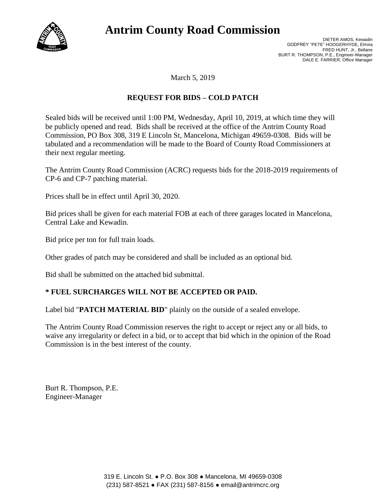

# **Antrim County Road Commission**

DIETER AMOS, Kewadin GODFREY "PETE" HOOGERHYDE, Elmira FRED HUNT, Jr., Bellaire BURT R. THOMPSON, P.E., Engineer-Manager DALE E. FARRIER, Office Manager

March 5, 2019

### **REQUEST FOR BIDS – COLD PATCH**

Sealed bids will be received until 1:00 PM, Wednesday, April 10, 2019, at which time they will be publicly opened and read. Bids shall be received at the office of the Antrim County Road Commission, PO Box 308, 319 E Lincoln St, Mancelona, Michigan 49659-0308. Bids will be tabulated and a recommendation will be made to the Board of County Road Commissioners at their next regular meeting.

The Antrim County Road Commission (ACRC) requests bids for the 2018-2019 requirements of CP-6 and CP-7 patching material.

Prices shall be in effect until April 30, 2020.

Bid prices shall be given for each material FOB at each of three garages located in Mancelona, Central Lake and Kewadin.

Bid price per ton for full train loads.

Other grades of patch may be considered and shall be included as an optional bid.

Bid shall be submitted on the attached bid submittal.

#### **\* FUEL SURCHARGES WILL NOT BE ACCEPTED OR PAID.**

Label bid "**PATCH MATERIAL BID**" plainly on the outside of a sealed envelope.

The Antrim County Road Commission reserves the right to accept or reject any or all bids, to waive any irregularity or defect in a bid, or to accept that bid which in the opinion of the Road Commission is in the best interest of the county.

Burt R. Thompson, P.E. Engineer-Manager